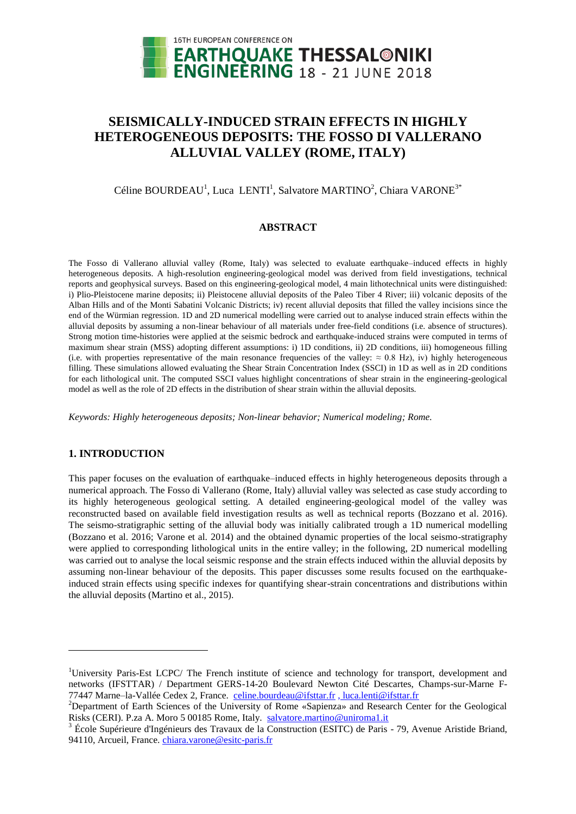

# **SEISMICALLY-INDUCED STRAIN EFFECTS IN HIGHLY HETEROGENEOUS DEPOSITS: THE FOSSO DI VALLERANO ALLUVIAL VALLEY (ROME, ITALY)**

## Céline BOURDEAU<sup>1</sup>, Luca LENTI<sup>1</sup>, Salvatore MARTINO<sup>2</sup>, Chiara VARONE<sup>3\*</sup>

## **ABSTRACT**

The Fosso di Vallerano alluvial valley (Rome, Italy) was selected to evaluate earthquake–induced effects in highly heterogeneous deposits. A high-resolution engineering-geological model was derived from field investigations, technical reports and geophysical surveys. Based on this engineering-geological model, 4 main lithotechnical units were distinguished: i) Plio-Pleistocene marine deposits; ii) Pleistocene alluvial deposits of the Paleo Tiber 4 River; iii) volcanic deposits of the Alban Hills and of the Monti Sabatini Volcanic Districts; iv) recent alluvial deposits that filled the valley incisions since the end of the Würmian regression. 1D and 2D numerical modelling were carried out to analyse induced strain effects within the alluvial deposits by assuming a non-linear behaviour of all materials under free-field conditions (i.e. absence of structures). Strong motion time-histories were applied at the seismic bedrock and earthquake-induced strains were computed in terms of maximum shear strain (MSS) adopting different assumptions: i) 1D conditions, ii) 2D conditions, iii) homogeneous filling (i.e. with properties representative of the main resonance frequencies of the valley:  $\approx 0.8$  Hz), iv) highly heterogeneous filling. These simulations allowed evaluating the Shear Strain Concentration Index (SSCI) in 1D as well as in 2D conditions for each lithological unit. The computed SSCI values highlight concentrations of shear strain in the engineering-geological model as well as the role of 2D effects in the distribution of shear strain within the alluvial deposits.

*Keywords: Highly heterogeneous deposits; Non-linear behavior; Numerical modeling; Rome.*

## **1. INTRODUCTION**

 $\overline{a}$ 

This paper focuses on the evaluation of earthquake–induced effects in highly heterogeneous deposits through a numerical approach. The Fosso di Vallerano (Rome, Italy) alluvial valley was selected as case study according to its highly heterogeneous geological setting. A detailed engineering-geological model of the valley was reconstructed based on available field investigation results as well as technical reports (Bozzano et al. 2016). The seismo-stratigraphic setting of the alluvial body was initially calibrated trough a 1D numerical modelling (Bozzano et al. 2016; Varone et al. 2014) and the obtained dynamic properties of the local seismo-stratigraphy were applied to corresponding lithological units in the entire valley; in the following, 2D numerical modelling was carried out to analyse the local seismic response and the strain effects induced within the alluvial deposits by assuming non-linear behaviour of the deposits. This paper discusses some results focused on the earthquakeinduced strain effects using specific indexes for quantifying shear-strain concentrations and distributions within the alluvial deposits (Martino et al., 2015).

<sup>1</sup>University Paris-Est LCPC/ The French institute of science and technology for transport, development and networks (IFSTTAR) / Department GERS-14-20 Boulevard Newton Cité Descartes, Champs-sur-Marne F77447 Marne-la-Vallée Cedex 2, France. [celine.bourdeau@ifsttar.fr](mailto:celine.bourdeau@ifsttar.fr) , luca.lenti@ifsttar.fr

<sup>2</sup>Department of Earth Sciences of the University of Rome «Sapienza» and Research Center for the Geological Risks (CERI). P.za A. Moro 5 00185 Rome, Italy. [salvatore.martino@uniroma1.it](mailto:salvatore.martino@uniroma1.it)

 $3$  École Supérieure d'Ingénieurs des Travaux de la Construction (ESITC) de Paris - 79, Avenue Aristide Briand, 94110, Arcueil, France. chiara.varone@esitc-paris.fr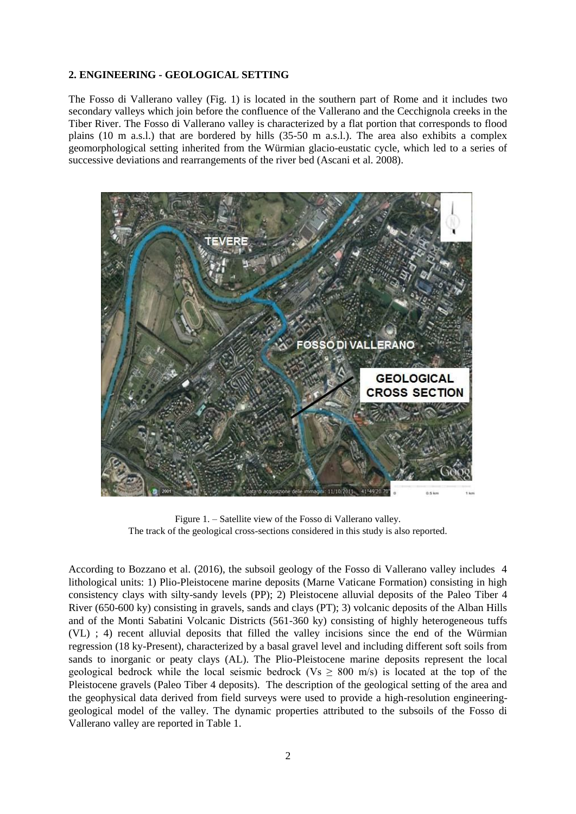#### **2. ENGINEERING - GEOLOGICAL SETTING**

The Fosso di Vallerano valley (Fig. 1) is located in the southern part of Rome and it includes two secondary valleys which join before the confluence of the Vallerano and the Cecchignola creeks in the Tiber River. The Fosso di Vallerano valley is characterized by a flat portion that corresponds to flood plains (10 m a.s.l.) that are bordered by hills (35-50 m a.s.l.). The area also exhibits a complex geomorphological setting inherited from the Würmian glacio-eustatic cycle, which led to a series of successive deviations and rearrangements of the river bed (Ascani et al. 2008).



Figure 1. – Satellite view of the Fosso di Vallerano valley. The track of the geological cross-sections considered in this study is also reported.

According to Bozzano et al. (2016), the subsoil geology of the Fosso di Vallerano valley includes 4 lithological units: 1) Plio-Pleistocene marine deposits (Marne Vaticane Formation) consisting in high consistency clays with silty-sandy levels (PP); 2) Pleistocene alluvial deposits of the Paleo Tiber 4 River (650-600 ky) consisting in gravels, sands and clays (PT); 3) volcanic deposits of the Alban Hills and of the Monti Sabatini Volcanic Districts (561-360 ky) consisting of highly heterogeneous tuffs (VL) ; 4) recent alluvial deposits that filled the valley incisions since the end of the Würmian regression (18 ky-Present), characterized by a basal gravel level and including different soft soils from sands to inorganic or peaty clays (AL). The Plio-Pleistocene marine deposits represent the local geological bedrock while the local seismic bedrock (Vs  $\geq$  800 m/s) is located at the top of the Pleistocene gravels (Paleo Tiber 4 deposits). The description of the geological setting of the area and the geophysical data derived from field surveys were used to provide a high-resolution engineeringgeological model of the valley. The dynamic properties attributed to the subsoils of the Fosso di Vallerano valley are reported in Table 1.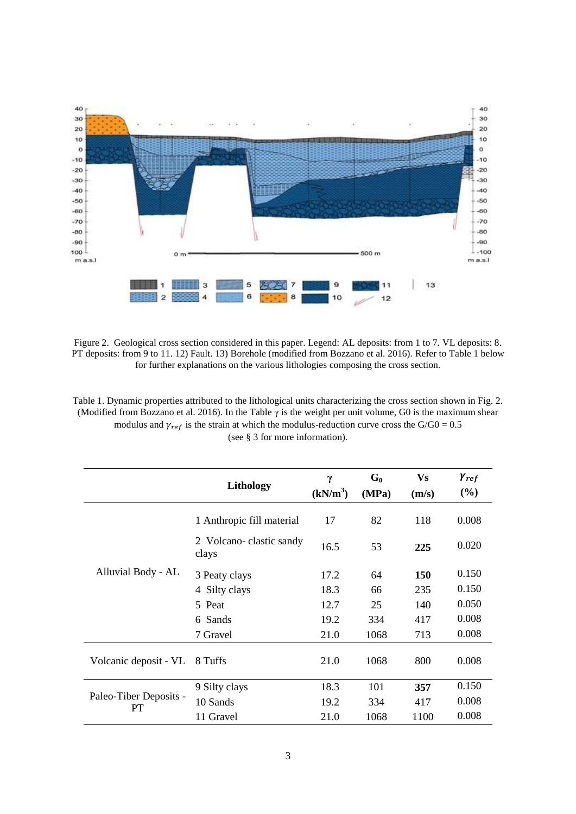

Figure 2. Geological cross section considered in this paper. Legend: AL deposits: from 1 to 7. VL deposits: 8. PT deposits: from 9 to 11. 12) Fault. 13) Borehole (modified from Bozzano et al. 2016). Refer to Table 1 below for further explanations on the various lithologies composing the cross section.

Table 1. Dynamic properties attributed to the lithological units characterizing the cross section shown in Fig. 2. (Modified from Bozzano et al. 2016). In the Table  $\gamma$  is the weight per unit volume, G0 is the maximum shear modulus and  $\gamma_{ref}$  is the strain at which the modulus-reduction curve cross the G/G0 = 0.5 (see § 3 for more information).

|                              | Lithology                        | $\gamma$             | $G_0$ | <b>Vs</b> | $\gamma_{ref}$ |
|------------------------------|----------------------------------|----------------------|-------|-----------|----------------|
|                              |                                  | (kN/m <sup>3</sup> ) | (MPa) | (m/s)     | (%)            |
| Alluvial Body - AL           | 1 Anthropic fill material        | 17                   | 82    | 118       | 0.008          |
|                              | 2 Volcano-clastic sandy<br>clays | 16.5                 | 53    | 225       | 0.020          |
|                              | 3 Peaty clays                    | 17.2                 | 64    | 150       | 0.150          |
|                              | 4 Silty clays                    | 18.3                 | 66    | 235       | 0.150          |
|                              | 5 Peat                           | 12.7                 | 25    | 140       | 0.050          |
|                              | 6 Sands                          | 19.2                 | 334   | 417       | 0.008          |
|                              | 7 Gravel                         | 21.0                 | 1068  | 713       | 0.008          |
| Volcanic deposit - VL        | 8 Tuffs                          | 21.0                 | 1068  | 800       | 0.008          |
| Paleo-Tiber Deposits -<br>PT | 9 Silty clays                    | 18.3                 | 101   | 357       | 0.150          |
|                              | 10 Sands                         | 19.2                 | 334   | 417       | 0.008          |
|                              | 11 Gravel                        | 21.0                 | 1068  | 1100      | 0.008          |

3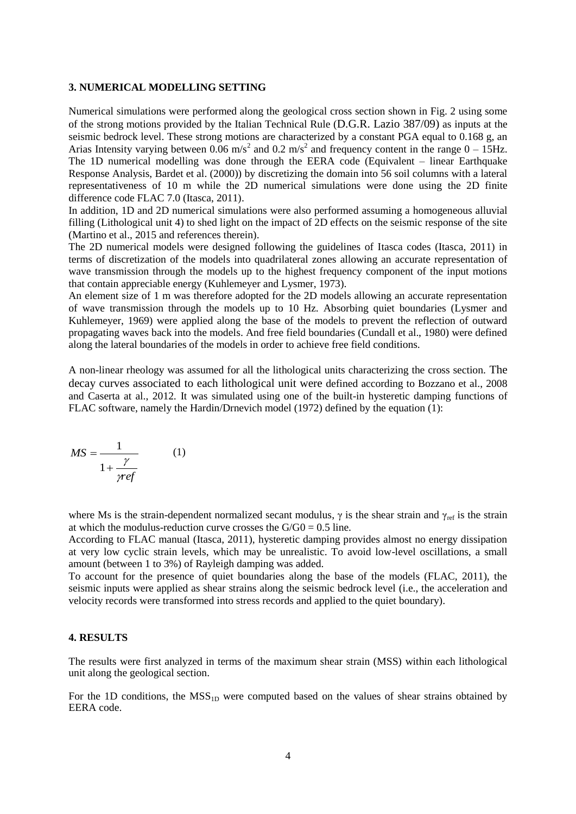#### **3. NUMERICAL MODELLING SETTING**

Numerical simulations were performed along the geological cross section shown in Fig. 2 using some of the strong motions provided by the Italian Technical Rule (D.G.R. Lazio 387/09) as inputs at the seismic bedrock level. These strong motions are characterized by a constant PGA equal to 0.168 g, an Arias Intensity varying between 0.06 m/s<sup>2</sup> and 0.2 m/s<sup>2</sup> and frequency content in the range  $0 - 15$ Hz. The 1D numerical modelling was done through the EERA code (Equivalent – linear Earthquake Response Analysis, Bardet et al. (2000)) by discretizing the domain into 56 soil columns with a lateral representativeness of 10 m while the 2D numerical simulations were done using the 2D finite difference code FLAC 7.0 (Itasca, 2011).

In addition, 1D and 2D numerical simulations were also performed assuming a homogeneous alluvial filling (Lithological unit 4) to shed light on the impact of 2D effects on the seismic response of the site (Martino et al., 2015 and references therein).

The 2D numerical models were designed following the guidelines of Itasca codes (Itasca, 2011) in terms of discretization of the models into quadrilateral zones allowing an accurate representation of wave transmission through the models up to the highest frequency component of the input motions that contain appreciable energy (Kuhlemeyer and Lysmer, 1973).

An element size of 1 m was therefore adopted for the 2D models allowing an accurate representation of wave transmission through the models up to 10 Hz. Absorbing quiet boundaries (Lysmer and Kuhlemeyer, 1969) were applied along the base of the models to prevent the reflection of outward propagating waves back into the models. And free field boundaries (Cundall et al., 1980) were defined along the lateral boundaries of the models in order to achieve free field conditions.

A non-linear rheology was assumed for all the lithological units characterizing the cross section. The decay curves associated to each lithological unit were defined according to Bozzano et al., 2008 and Caserta at al., 2012. It was simulated using one of the built-in hysteretic damping functions of FLAC software, namely the Hardin/Drnevich model (1972) defined by the equation (1):

$$
MS = \frac{1}{1 + \frac{\gamma}{\gamma ref}}
$$
 (1)

where Ms is the strain-dependent normalized secant modulus,  $\gamma$  is the shear strain and  $\gamma_{ref}$  is the strain at which the modulus-reduction curve crosses the  $G/G0 = 0.5$  line.

According to FLAC manual (Itasca, 2011), hysteretic damping provides almost no energy dissipation at very low cyclic strain levels, which may be unrealistic. To avoid low-level oscillations, a small amount (between 1 to 3%) of Rayleigh damping was added.

To account for the presence of quiet boundaries along the base of the models (FLAC, 2011), the seismic inputs were applied as shear strains along the seismic bedrock level (i.e., the acceleration and velocity records were transformed into stress records and applied to the quiet boundary).

#### **4. RESULTS**

The results were first analyzed in terms of the maximum shear strain (MSS) within each lithological unit along the geological section.

For the 1D conditions, the  $MSS_{1D}$  were computed based on the values of shear strains obtained by EERA code.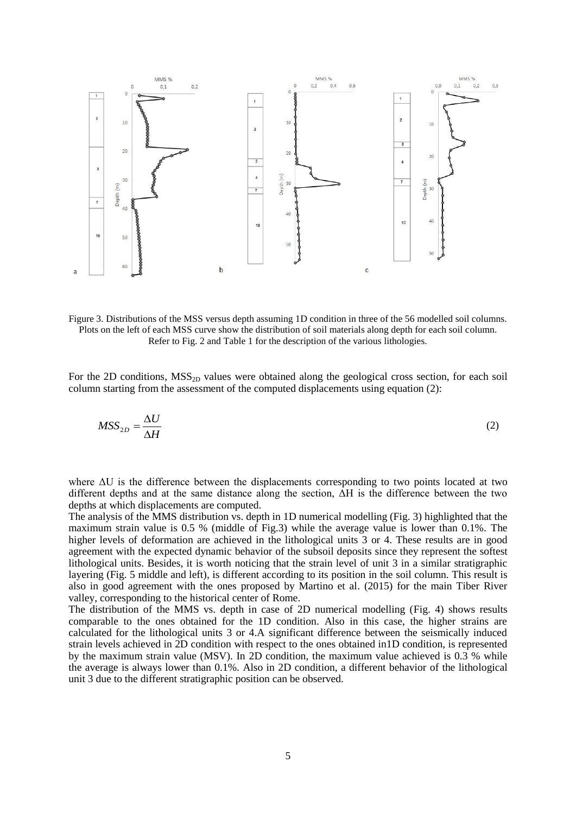

Figure 3. Distributions of the MSS versus depth assuming 1D condition in three of the 56 modelled soil columns. Plots on the left of each MSS curve show the distribution of soil materials along depth for each soil column. Refer to Fig. 2 and Table 1 for the description of the various lithologies.

For the 2D conditions,  $MSS_{2D}$  values were obtained along the geological cross section, for each soil column starting from the assessment of the computed displacements using equation (2):

$$
MSS_{2D} = \frac{\Delta U}{\Delta H} \tag{2}
$$

where ΔU is the difference between the displacements corresponding to two points located at two different depths and at the same distance along the section, ΔH is the difference between the two depths at which displacements are computed.

The analysis of the MMS distribution vs. depth in 1D numerical modelling (Fig. 3) highlighted that the maximum strain value is 0.5 % (middle of Fig.3) while the average value is lower than 0.1%. The higher levels of deformation are achieved in the lithological units 3 or 4. These results are in good agreement with the expected dynamic behavior of the subsoil deposits since they represent the softest lithological units. Besides, it is worth noticing that the strain level of unit 3 in a similar stratigraphic layering (Fig. 5 middle and left), is different according to its position in the soil column. This result is also in good agreement with the ones proposed by Martino et al. (2015) for the main Tiber River valley, corresponding to the historical center of Rome.

The distribution of the MMS vs. depth in case of 2D numerical modelling (Fig. 4) shows results comparable to the ones obtained for the 1D condition. Also in this case, the higher strains are calculated for the lithological units 3 or 4.A significant difference between the seismically induced strain levels achieved in 2D condition with respect to the ones obtained in1D condition, is represented by the maximum strain value (MSV). In 2D condition, the maximum value achieved is 0.3 % while the average is always lower than 0.1%. Also in 2D condition, a different behavior of the lithological unit 3 due to the different stratigraphic position can be observed.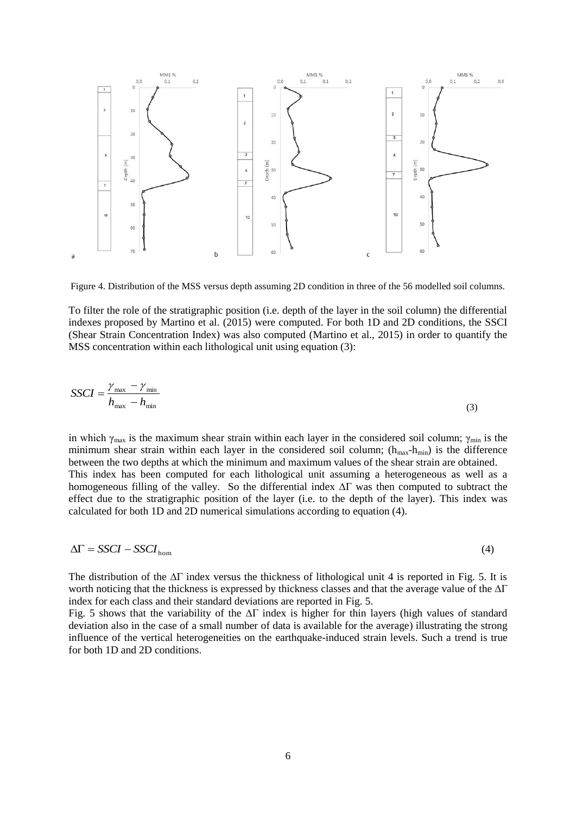

Figure 4. Distribution of the MSS versus depth assuming 2D condition in three of the 56 modelled soil columns.

To filter the role of the stratigraphic position (i.e. depth of the layer in the soil column) the differential indexes proposed by Martino et al. (2015) were computed. For both 1D and 2D conditions, the SSCI (Shear Strain Concentration Index) was also computed (Martino et al., 2015) in order to quantify the MSS concentration within each lithological unit using equation (3):

$$
SSCI = \frac{\gamma_{\text{max}} - \gamma_{\text{min}}}{h_{\text{max}} - h_{\text{min}}}
$$
(3)

in which  $\gamma_{\text{max}}$  is the maximum shear strain within each layer in the considered soil column;  $\gamma_{\text{min}}$  is the minimum shear strain within each layer in the considered soil column;  $(h_{max}-h_{min})$  is the difference between the two depths at which the minimum and maximum values of the shear strain are obtained. This index has been computed for each lithological unit assuming a heterogeneous as well as a homogeneous filling of the valley. So the differential index ∆Γ was then computed to subtract the effect due to the stratigraphic position of the layer (i.e. to the depth of the layer). This index was calculated for both 1D and 2D numerical simulations according to equation (4).

$$
\Delta \Gamma = SSCI - SSCI_{\text{hom}} \tag{4}
$$

The distribution of the  $\Delta\Gamma$  index versus the thickness of lithological unit 4 is reported in Fig. 5. It is worth noticing that the thickness is expressed by thickness classes and that the average value of the ∆Γ index for each class and their standard deviations are reported in Fig. 5.

Fig. 5 shows that the variability of the ∆Γ index is higher for thin layers (high values of standard deviation also in the case of a small number of data is available for the average) illustrating the strong influence of the vertical heterogeneities on the earthquake-induced strain levels. Such a trend is true for both 1D and 2D conditions.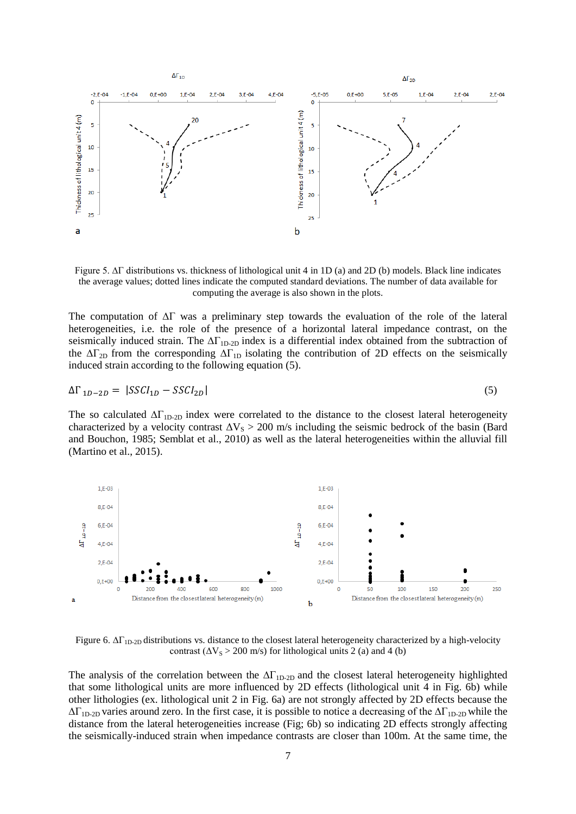

Figure 5. ∆Γ distributions vs. thickness of lithological unit 4 in 1D (a) and 2D (b) models. Black line indicates the average values; dotted lines indicate the computed standard deviations. The number of data available for computing the average is also shown in the plots.

The computation of ∆Γ was a preliminary step towards the evaluation of the role of the lateral heterogeneities, i.e. the role of the presence of a horizontal lateral impedance contrast, on the seismically induced strain. The  $\Delta\Gamma_{1D-2D}$  index is a differential index obtained from the subtraction of the  $\Delta\Gamma_{2D}$  from the corresponding  $\Delta\Gamma_{1D}$  isolating the contribution of 2D effects on the seismically induced strain according to the following equation (5).

$$
\Delta\Gamma_{1D-2D} = |SSCI_{1D} - SSCI_{2D}| \tag{5}
$$

The so calculated  $\Delta\Gamma_{\text{1D-2D}}$  index were correlated to the distance to the closest lateral heterogeneity characterized by a velocity contrast  $\Delta V_s > 200$  m/s including the seismic bedrock of the basin (Bard and Bouchon, 1985; Semblat et al., 2010) as well as the lateral heterogeneities within the alluvial fill (Martino et al., 2015).



Figure 6.  $ΔΓ<sub>1D-2D</sub>$  distributions vs. distance to the closest lateral heterogeneity characterized by a high-velocity contrast  $(\Delta V_s > 200 \text{ m/s})$  for lithological units 2 (a) and 4 (b)

The analysis of the correlation between the  $\Delta\Gamma_{\text{1D-2D}}$  and the closest lateral heterogeneity highlighted that some lithological units are more influenced by 2D effects (lithological unit 4 in Fig. 6b) while other lithologies (ex. lithological unit 2 in Fig. 6a) are not strongly affected by 2D effects because the  $\Delta\Gamma_{1D-2D}$  varies around zero. In the first case, it is possible to notice a decreasing of the  $\Delta\Gamma_{1D-2D}$  while the distance from the lateral heterogeneities increase (Fig; 6b) so indicating 2D effects strongly affecting the seismically-induced strain when impedance contrasts are closer than 100m. At the same time, the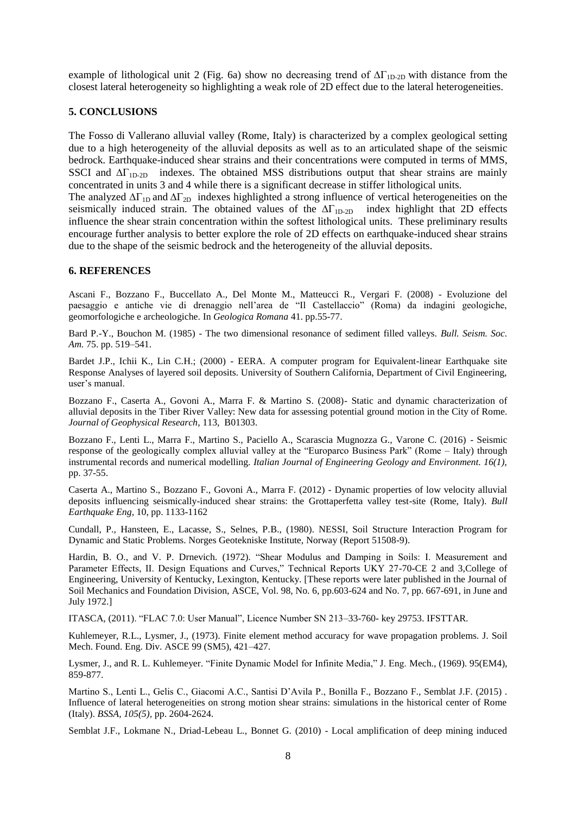example of lithological unit 2 (Fig. 6a) show no decreasing trend of  $\Delta\Gamma_{1D-2D}$  with distance from the closest lateral heterogeneity so highlighting a weak role of 2D effect due to the lateral heterogeneities.

## **5. CONCLUSIONS**

The Fosso di Vallerano alluvial valley (Rome, Italy) is characterized by a complex geological setting due to a high heterogeneity of the alluvial deposits as well as to an articulated shape of the seismic bedrock. Earthquake-induced shear strains and their concentrations were computed in terms of MMS, SSCI and  $\Delta\Gamma_{1D-2D}$  indexes. The obtained MSS distributions output that shear strains are mainly concentrated in units 3 and 4 while there is a significant decrease in stiffer lithological units.

The analyzed  $\Delta\Gamma_{1D}$  and  $\Delta\Gamma_{2D}$  indexes highlighted a strong influence of vertical heterogeneities on the seismically induced strain. The obtained values of the  $\Delta\Gamma_{1D-2D}$  index highlight that 2D effects influence the shear strain concentration within the softest lithological units. These preliminary results encourage further analysis to better explore the role of 2D effects on earthquake-induced shear strains due to the shape of the seismic bedrock and the heterogeneity of the alluvial deposits.

#### **6. REFERENCES**

Ascani F., Bozzano F., Buccellato A., Del Monte M., Matteucci R., Vergari F. (2008) - Evoluzione del paesaggio e antiche vie di drenaggio nell'area de "Il Castellaccio" (Roma) da indagini geologiche, geomorfologiche e archeologiche. In *Geologica Romana* 41. pp.55-77.

Bard P.-Y., Bouchon M. (1985) - The two dimensional resonance of sediment filled valleys*. Bull. Seism. Soc. Am.* 75. pp. 519–541.

Bardet J.P., Ichii K., Lin C.H.; (2000) - EERA. A computer program for Equivalent-linear Earthquake site Response Analyses of layered soil deposits. University of Southern California, Department of Civil Engineering, user's manual.

Bozzano F., Caserta A., Govoni A., Marra F. & Martino S. (2008)- Static and dynamic characterization of alluvial deposits in the Tiber River Valley: New data for assessing potential ground motion in the City of Rome. *Journal of Geophysical Research*, 113, B01303.

Bozzano F., Lenti L., Marra F., Martino S., Paciello A., Scarascia Mugnozza G., Varone C. (2016) - Seismic response of the geologically complex alluvial valley at the "Europarco Business Park" (Rome – Italy) through instrumental records and numerical modelling. *Italian Journal of Engineering Geology and Environment. 16(1),* pp. 37-55.

Caserta A., Martino S., Bozzano F., Govoni A., Marra F. (2012) - Dynamic properties of low velocity alluvial deposits influencing seismically-induced shear strains: the Grottaperfetta valley test-site (Rome, Italy). *Bull Earthquake Eng*, 10, pp. 1133-1162

Cundall, P., Hansteen, E., Lacasse, S., Selnes, P.B., (1980). NESSI, Soil Structure Interaction Program for Dynamic and Static Problems. Norges Geotekniske Institute, Norway (Report 51508-9).

Hardin, B. O., and V. P. Drnevich. (1972). "Shear Modulus and Damping in Soils: I. Measurement and Parameter Effects, II. Design Equations and Curves," Technical Reports UKY 27-70-CE 2 and 3,College of Engineering, University of Kentucky, Lexington, Kentucky. [These reports were later published in the Journal of Soil Mechanics and Foundation Division, ASCE, Vol. 98, No. 6, pp.603-624 and No. 7, pp. 667-691, in June and July 1972.]

ITASCA, (2011). "FLAC 7.0: User Manual", Licence Number SN 213–33-760- key 29753. IFSTTAR.

Kuhlemeyer, R.L., Lysmer, J., (1973). Finite element method accuracy for wave propagation problems. J. Soil Mech. Found. Eng. Div. ASCE 99 (SM5), 421–427.

Lysmer, J., and R. L. Kuhlemeyer. "Finite Dynamic Model for Infinite Media," J. Eng. Mech., (1969). 95(EM4), 859-877.

Martino S., Lenti L., Gelis C., Giacomi A.C., Santisi D'Avila P., Bonilla F., Bozzano F., Semblat J.F. (2015) . Influence of lateral heterogeneities on strong motion shear strains: simulations in the historical center of Rome (Italy). *BSSA, 105(5),* pp. 2604-2624.

Semblat J.F., Lokmane N., Driad-Lebeau L., Bonnet G. (2010) - Local amplification of deep mining induced